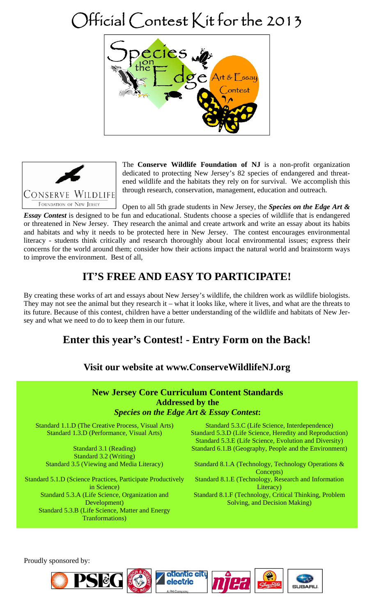# Official Contest Kit for the 2013





The **Conserve Wildlife Foundation of NJ** is a non-profit organization dedicated to protecting New Jersey's 82 species of endangered and threatened wildlife and the habitats they rely on for survival. We accomplish this through research, conservation, management, education and outreach.

Open to all 5th grade students in New Jersey, the *Species on the Edge Art & Essay Contest* is designed to be fun and educational. Students choose a species of wildlife that is endangered or threatened in New Jersey. They research the animal and create artwork and write an essay about its habits and habitats and why it needs to be protected here in New Jersey. The contest encourages environmental literacy - students think critically and research thoroughly about local environmental issues; express their concerns for the world around them; consider how their actions impact the natural world and brainstorm ways to improve the environment. Best of all,

# **IT'S FREE AND EASY TO PARTICIPATE!**

By creating these works of art and essays about New Jersey's wildlife, the children work as wildlife biologists. They may not see the animal but they research it – what it looks like, where it lives, and what are the threats to its future. Because of this contest, children have a better understanding of the wildlife and habitats of New Jersey and what we need to do to keep them in our future.

# **Enter this year's Contest! - Entry Form on the Back!**

### **Visit our website at www.ConserveWildlifeNJ.org**



Proudly sponsored by: